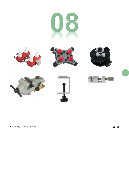



 $\mathbf{I}$ 











CASE HOLDERS / VICES **08 - 2**

 $^{-}$  1

 $\overline{\phantom{a}}$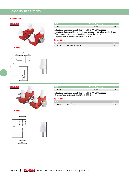#### **Case holders.**



**← 70 mm →**



| <b>MSA</b> | <b>Maximal opening</b> | Kg    |
|------------|------------------------|-------|
| 07.374     | 70 mm                  | 0.160 |

Delivered with 4 Delrin® dies MSA07.374-A. Adjustable aluminium case holder for all HOROTEC® presses. The stacked dies are fitted in reinforced pierced holes with a steel cylinder. They are particularly recommended for heavy-duty work.

#### **Spare part :**

| <b>MSA</b> | ⊾ Item \            | -Ka   |
|------------|---------------------|-------|
| 07.374-A   | Stacked Delrin® die | 0.005 |



**← 70 mm →**





**MSA Maximal opening Kg 07.360-A 10.110 10.110 10.110 10.110** 

Delivered with 4 Delrin® dies MSA07.360-B. Adjustable aluminium case holder for all HOROTEC® presses.

#### **Spare part :**

| <b>IMSA</b> | NtemN                   | Ka    |
|-------------|-------------------------|-------|
| 07.360-B    | Delrin <sup>®</sup> die | 0.015 |

 $\perp$ 

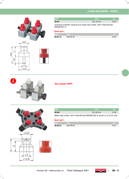

| <b>MSA</b> | <b>Size</b>       | 7K C  |
|------------|-------------------|-------|
| 08.001     | $65 \times 45$ mm | 0.073 |

Universal synthetic material and metal case holder, with 4 Nylon® dies MSA08.001-A.

### **Spare part :**

| <b>MSA</b> | ltem.                  | KC    |
|------------|------------------------|-------|
| 08.001-A   | Nylon <sup>®</sup> die | 0.003 |



 $\varnothing$  4 ø 12.50

**See chapter PERF.**





 $\Box$ 

| <b>MSA</b>                                                                | <b>Size</b>       | Ka    |
|---------------------------------------------------------------------------|-------------------|-------|
| 08.002                                                                    | $83 \times 65$ mm | 0.192 |
| Metal case holder, with 4 Nylon® dies MSA08.002-A, driven on a 5 mm axle. |                   |       |

### **Spare part :**

| <b>MSA</b> | $\blacksquare$ tem $\blacksquare$ | <b>K</b> a |
|------------|-----------------------------------|------------|
| 08.002-A   | Nylon <sup>®</sup> die            | 0.001      |

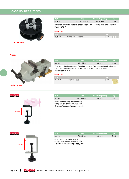

|  | $2060$ mm |  |
|--|-----------|--|

| <b>MSA</b>   | <b>Size</b>                                                                | <b>Maximal opening</b> | Ka    |
|--------------|----------------------------------------------------------------------------|------------------------|-------|
| 08.010       | $\varnothing$ 115 x 65 mm                                                  | $2060$ mm              | 0.396 |
| MSA08.010-A. | Universal synthetic material case holder, with 4 Delrin® dies and 1 washer |                        |       |

#### **Spare part :**

| <b>MSA</b> | \ltem \                   | s ra                 |
|------------|---------------------------|----------------------|
| 08.010-A   | Delrin $@$ die + 1 washer | 0.012<br><b>TIME</b> |

#### **Vices.**



| <b>MSA</b>                                                                              | <b>Size</b>        | <b>Maximal opening</b>                                                      | Κα    |
|-----------------------------------------------------------------------------------------|--------------------|-----------------------------------------------------------------------------|-------|
| 08.104                                                                                  | $120 \times 65$ mm | $20 \text{ mm}$                                                             | 1.032 |
| the vice to be easily settled or removed thanks to the side lever.<br>Jaws width 46 mm. |                    | Vice with fixing brass plate. The plate remains fixed on the bench allowing |       |

### **Spare part :**

| <b>MSA</b> | ltem i             |       |
|------------|--------------------|-------|
| 08.104-A   | Fixing brass plate | 0.090 |

**← 20 mm →**





| <b>MSA</b> | <b>Size</b>        | <b>Maximal opening</b> | Kg    |
|------------|--------------------|------------------------|-------|
| 24.109     | $50 \times 120$ mm | $50 \text{ mm}$        | 0.547 |

Delivered without fixing brass plate. Black bench clamp for vice fixing. Compatible with vice MSA08.104.

HOROTEC<sup>®</sup>



| <b>MSA</b>                                                                                                    | <b>Size</b> | <b>Maximal opening</b> | Kq    |
|---------------------------------------------------------------------------------------------------------------|-------------|------------------------|-------|
| 24.113                                                                                                        | 70 x 95 mm  | $60 \text{ mm}$        | 0.565 |
| Grey bench clamp for vice fixing.<br>Compatible with vice MSA08.104.<br>Delivered without fixing brass plate. |             |                        |       |

 $\mathbf{L}$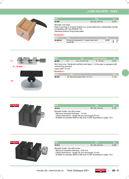

| <b>MSA</b>   | <b>Size</b>                 | Ka    |
|--------------|-----------------------------|-------|
| 24.405       | $60 \times 60 \times 50$ mm | 0.150 |
| $\mathbf{1}$ |                             |       |

Wooden vice base.

Easy mounting on a bench thanks to a screw fitted with a detachable handle. Compatible with vice MSA08.104.

Delivered without fixing brass plate.

### **Accessory :**

| <b>MSA</b> | ltem.                                                   |       |  |
|------------|---------------------------------------------------------|-------|--|
| 24.405-01  | Fixing kit composed of 1 metal insert and 1<br>screw M6 | 0.008 |  |



| and the state of the control of the state of the state of the |  |
|---------------------------------------------------------------|--|
|                                                               |  |
|                                                               |  |
|                                                               |  |

| <b>IMSA</b>       |                       | <b>Size</b>                                                                   | <b>Maximal opening</b> | Kg    |
|-------------------|-----------------------|-------------------------------------------------------------------------------|------------------------|-------|
| 08.502            | (1)                   | $14 \times 14 \times 67$ mm                                                   | $015$ mm               | 0.075 |
| Jaws width 14 mm. | maintaining grooves). | Mini hand vice. Hardened rectified steel jaws (1 of the jaws is equipped with |                        |       |
| Accorporu -       |                       |                                                                               |                        |       |

| <b>MSA</b> | ⊾ltem \                                     | ∟Ka'  |
|------------|---------------------------------------------|-------|
| 08.503     | (2) Revolving base $\varnothing$ 50 x 37 mm | 0.149 |

OR<sub>OTE</sub>

**(2)**



| <b>MSA</b>                       | <b>Size</b>                 | lKa'  |
|----------------------------------|-----------------------------|-------|
| 10.519                           | $50 \times 45 \times 40$ mm | 0.105 |
| Bracelet holder vice with screw. |                             |       |

- Maximum bracelet thickness : 10 mm

- Useful dimensions : length 49 mm and height 24 mm

- Suitable for presses MSA10.499 and 10.500 illustrated on page 10-2.